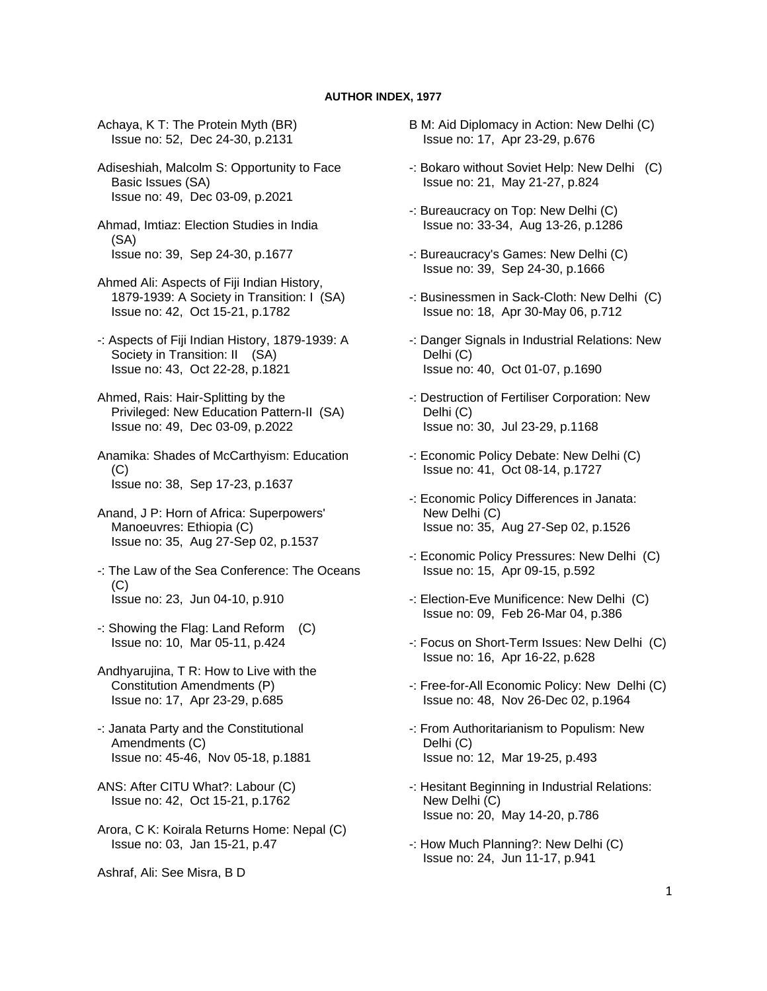## **AUTHOR INDEX, 1977**

 Achaya, K T: The Protein Myth (BR) Issue no: 52, Dec 24-30, p.2131

 Adiseshiah, Malcolm S: Opportunity to Face Basic Issues (SA) Issue no: 49, Dec 03-09, p.2021

 Ahmad, Imtiaz: Election Studies in India (SA) Issue no: 39, Sep 24-30, p.1677

 Ahmed Ali: Aspects of Fiji Indian History, 1879-1939: A Society in Transition: I (SA) Issue no: 42, Oct 15-21, p.1782

- -: Aspects of Fiji Indian History, 1879-1939: A Society in Transition: II (SA) Issue no: 43, Oct 22-28, p.1821
- Ahmed, Rais: Hair-Splitting by the Privileged: New Education Pattern-II (SA) Issue no: 49, Dec 03-09, p.2022

 Anamika: Shades of McCarthyism: Education  $(C)$ Issue no: 38, Sep 17-23, p.1637

 Anand, J P: Horn of Africa: Superpowers' Manoeuvres: Ethiopia (C) Issue no: 35, Aug 27-Sep 02, p.1537

 -: The Law of the Sea Conference: The Oceans  $(C)$ Issue no: 23, Jun 04-10, p.910

 -: Showing the Flag: Land Reform (C) Issue no: 10, Mar 05-11, p.424

 Andhyarujina, T R: How to Live with the Constitution Amendments (P) Issue no: 17, Apr 23-29, p.685

- -: Janata Party and the Constitutional Amendments (C) Issue no: 45-46, Nov 05-18, p.1881
- ANS: After CITU What?: Labour (C) Issue no: 42, Oct 15-21, p.1762
- Arora, C K: Koirala Returns Home: Nepal (C) Issue no: 03, Jan 15-21, p.47

Ashraf, Ali: See Misra, B D

- B M: Aid Diplomacy in Action: New Delhi (C) Issue no: 17, Apr 23-29, p.676
- -: Bokaro without Soviet Help: New Delhi (C) Issue no: 21, May 21-27, p.824
- -: Bureaucracy on Top: New Delhi (C) Issue no: 33-34, Aug 13-26, p.1286
- -: Bureaucracy's Games: New Delhi (C) Issue no: 39, Sep 24-30, p.1666
- -: Businessmen in Sack-Cloth: New Delhi (C) Issue no: 18, Apr 30-May 06, p.712
- -: Danger Signals in Industrial Relations: New Delhi (C) Issue no: 40, Oct 01-07, p.1690
- -: Destruction of Fertiliser Corporation: New Delhi (C) Issue no: 30, Jul 23-29, p.1168
- -: Economic Policy Debate: New Delhi (C) Issue no: 41, Oct 08-14, p.1727
- -: Economic Policy Differences in Janata: New Delhi (C) Issue no: 35, Aug 27-Sep 02, p.1526
- -: Economic Policy Pressures: New Delhi (C) Issue no: 15, Apr 09-15, p.592
- -: Election-Eve Munificence: New Delhi (C) Issue no: 09, Feb 26-Mar 04, p.386
- -: Focus on Short-Term Issues: New Delhi (C) Issue no: 16, Apr 16-22, p.628
- -: Free-for-All Economic Policy: New Delhi (C) Issue no: 48, Nov 26-Dec 02, p.1964
- -: From Authoritarianism to Populism: New Delhi (C) Issue no: 12, Mar 19-25, p.493
- -: Hesitant Beginning in Industrial Relations: New Delhi (C) Issue no: 20, May 14-20, p.786
- -: How Much Planning?: New Delhi (C) Issue no: 24, Jun 11-17, p.941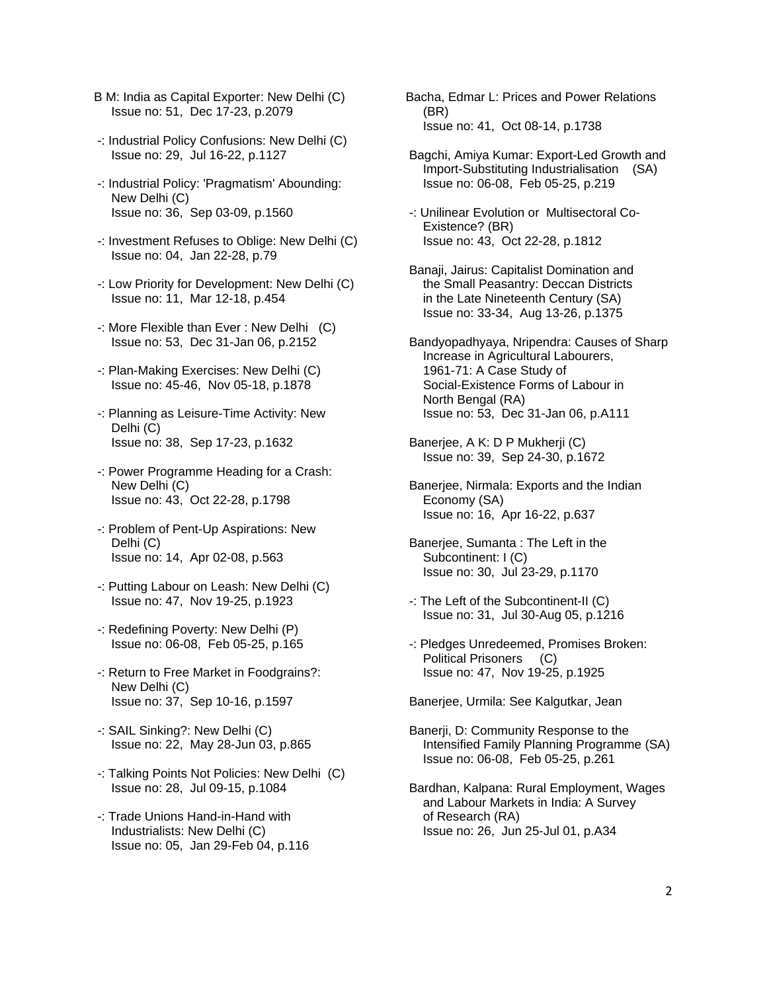- B M: India as Capital Exporter: New Delhi (C) Issue no: 51, Dec 17-23, p.2079
- -: Industrial Policy Confusions: New Delhi (C) Issue no: 29, Jul 16-22, p.1127
- -: Industrial Policy: 'Pragmatism' Abounding: New Delhi (C) Issue no: 36, Sep 03-09, p.1560
- -: Investment Refuses to Oblige: New Delhi (C) Issue no: 04, Jan 22-28, p.79
- -: Low Priority for Development: New Delhi (C) Issue no: 11, Mar 12-18, p.454
- -: More Flexible than Ever : New Delhi (C) Issue no: 53, Dec 31-Jan 06, p.2152
- -: Plan-Making Exercises: New Delhi (C) Issue no: 45-46, Nov 05-18, p.1878
- -: Planning as Leisure-Time Activity: New Delhi (C) Issue no: 38, Sep 17-23, p.1632
- -: Power Programme Heading for a Crash: New Delhi (C) Issue no: 43, Oct 22-28, p.1798
- -: Problem of Pent-Up Aspirations: New Delhi (C) Issue no: 14, Apr 02-08, p.563
- -: Putting Labour on Leash: New Delhi (C) Issue no: 47, Nov 19-25, p.1923
- -: Redefining Poverty: New Delhi (P) Issue no: 06-08, Feb 05-25, p.165
- -: Return to Free Market in Foodgrains?: New Delhi (C) Issue no: 37, Sep 10-16, p.1597
- -: SAIL Sinking?: New Delhi (C) Issue no: 22, May 28-Jun 03, p.865
- -: Talking Points Not Policies: New Delhi (C) Issue no: 28, Jul 09-15, p.1084
- -: Trade Unions Hand-in-Hand with Industrialists: New Delhi (C) Issue no: 05, Jan 29-Feb 04, p.116
- Bacha, Edmar L: Prices and Power Relations (BR) Issue no: 41, Oct 08-14, p.1738
- Bagchi, Amiya Kumar: Export-Led Growth and Import-Substituting Industrialisation (SA) Issue no: 06-08, Feb 05-25, p.219
- -: Unilinear Evolution or Multisectoral Co- Existence? (BR) Issue no: 43, Oct 22-28, p.1812
- Banaji, Jairus: Capitalist Domination and the Small Peasantry: Deccan Districts in the Late Nineteenth Century (SA) Issue no: 33-34, Aug 13-26, p.1375
- Bandyopadhyaya, Nripendra: Causes of Sharp Increase in Agricultural Labourers, 1961-71: A Case Study of Social-Existence Forms of Labour in North Bengal (RA) Issue no: 53, Dec 31-Jan 06, p.A111
- Banerjee, A K: D P Mukherji (C) Issue no: 39, Sep 24-30, p.1672
- Banerjee, Nirmala: Exports and the Indian Economy (SA) Issue no: 16, Apr 16-22, p.637
- Banerjee, Sumanta : The Left in the Subcontinent: I (C) Issue no: 30, Jul 23-29, p.1170
- -: The Left of the Subcontinent-II (C) Issue no: 31, Jul 30-Aug 05, p.1216
- -: Pledges Unredeemed, Promises Broken: Political Prisoners (C) Issue no: 47, Nov 19-25, p.1925
- Banerjee, Urmila: See Kalgutkar, Jean
- Banerji, D: Community Response to the Intensified Family Planning Programme (SA) Issue no: 06-08, Feb 05-25, p.261
- Bardhan, Kalpana: Rural Employment, Wages and Labour Markets in India: A Survey of Research (RA) Issue no: 26, Jun 25-Jul 01, p.A34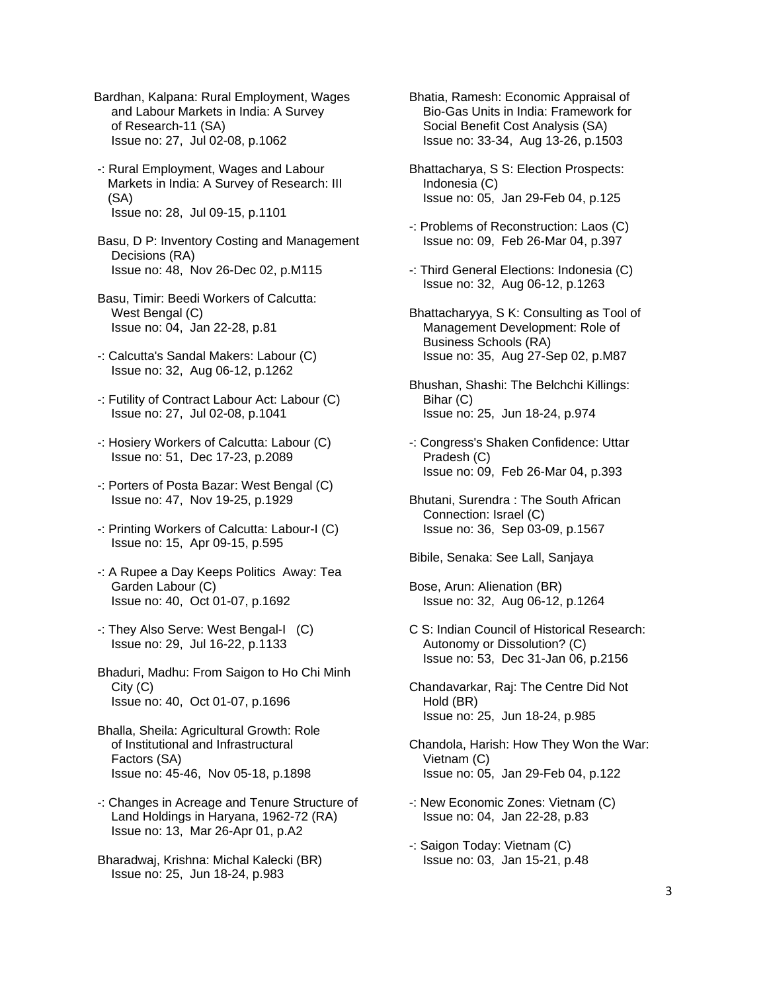- Bardhan, Kalpana: Rural Employment, Wages and Labour Markets in India: A Survey of Research-11 (SA) Issue no: 27, Jul 02-08, p.1062
- -: Rural Employment, Wages and Labour Markets in India: A Survey of Research: III (SA) Issue no: 28, Jul 09-15, p.1101
- Basu, D P: Inventory Costing and Management Decisions (RA) Issue no: 48, Nov 26-Dec 02, p.M115
- Basu, Timir: Beedi Workers of Calcutta: West Bengal (C) Issue no: 04, Jan 22-28, p.81
- -: Calcutta's Sandal Makers: Labour (C) Issue no: 32, Aug 06-12, p.1262
- -: Futility of Contract Labour Act: Labour (C) Issue no: 27, Jul 02-08, p.1041
- -: Hosiery Workers of Calcutta: Labour (C) Issue no: 51, Dec 17-23, p.2089
- -: Porters of Posta Bazar: West Bengal (C) Issue no: 47, Nov 19-25, p.1929
- -: Printing Workers of Calcutta: Labour-I (C) Issue no: 15, Apr 09-15, p.595
- -: A Rupee a Day Keeps Politics Away: Tea Garden Labour (C) Issue no: 40, Oct 01-07, p.1692
- -: They Also Serve: West Bengal-I (C) Issue no: 29, Jul 16-22, p.1133
- Bhaduri, Madhu: From Saigon to Ho Chi Minh City (C) Issue no: 40, Oct 01-07, p.1696
- Bhalla, Sheila: Agricultural Growth: Role of Institutional and Infrastructural Factors (SA) Issue no: 45-46, Nov 05-18, p.1898
- -: Changes in Acreage and Tenure Structure of Land Holdings in Haryana, 1962-72 (RA) Issue no: 13, Mar 26-Apr 01, p.A2
- Bharadwaj, Krishna: Michal Kalecki (BR) Issue no: 25, Jun 18-24, p.983
- Bhatia, Ramesh: Economic Appraisal of Bio-Gas Units in India: Framework for Social Benefit Cost Analysis (SA) Issue no: 33-34, Aug 13-26, p.1503
- Bhattacharya, S S: Election Prospects: Indonesia (C) Issue no: 05, Jan 29-Feb 04, p.125
- -: Problems of Reconstruction: Laos (C) Issue no: 09, Feb 26-Mar 04, p.397
- -: Third General Elections: Indonesia (C) Issue no: 32, Aug 06-12, p.1263
- Bhattacharyya, S K: Consulting as Tool of Management Development: Role of Business Schools (RA) Issue no: 35, Aug 27-Sep 02, p.M87
- Bhushan, Shashi: The Belchchi Killings: Bihar (C) Issue no: 25, Jun 18-24, p.974
- -: Congress's Shaken Confidence: Uttar Pradesh (C) Issue no: 09, Feb 26-Mar 04, p.393
- Bhutani, Surendra : The South African Connection: Israel (C) Issue no: 36, Sep 03-09, p.1567
- Bibile, Senaka: See Lall, Sanjaya
- Bose, Arun: Alienation (BR) Issue no: 32, Aug 06-12, p.1264
- C S: Indian Council of Historical Research: Autonomy or Dissolution? (C) Issue no: 53, Dec 31-Jan 06, p.2156
- Chandavarkar, Raj: The Centre Did Not Hold (BR) Issue no: 25, Jun 18-24, p.985
- Chandola, Harish: How They Won the War: Vietnam (C) Issue no: 05, Jan 29-Feb 04, p.122
- -: New Economic Zones: Vietnam (C) Issue no: 04, Jan 22-28, p.83
- -: Saigon Today: Vietnam (C) Issue no: 03, Jan 15-21, p.48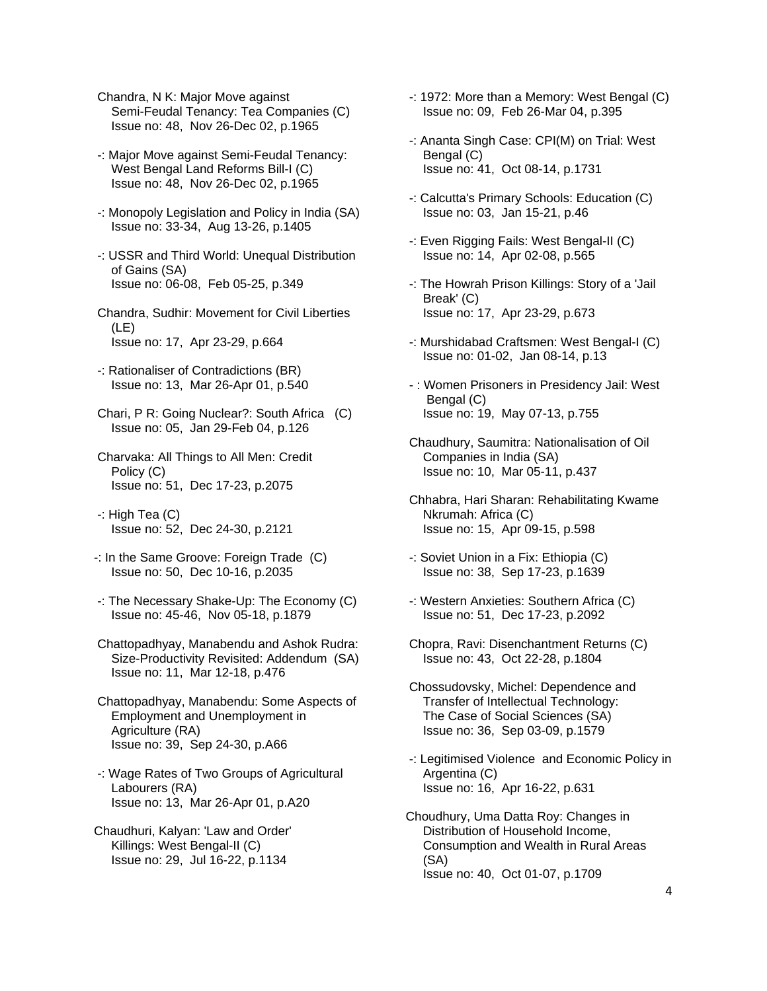Chandra, N K: Major Move against Semi-Feudal Tenancy: Tea Companies (C) Issue no: 48, Nov 26-Dec 02, p.1965

- -: Major Move against Semi-Feudal Tenancy: West Bengal Land Reforms Bill-I (C) Issue no: 48, Nov 26-Dec 02, p.1965
- -: Monopoly Legislation and Policy in India (SA) Issue no: 33-34, Aug 13-26, p.1405
- -: USSR and Third World: Unequal Distribution of Gains (SA) Issue no: 06-08, Feb 05-25, p.349
- Chandra, Sudhir: Movement for Civil Liberties (LE) Issue no: 17, Apr 23-29, p.664
- -: Rationaliser of Contradictions (BR) Issue no: 13, Mar 26-Apr 01, p.540
- Chari, P R: Going Nuclear?: South Africa (C) Issue no: 05, Jan 29-Feb 04, p.126
- Charvaka: All Things to All Men: Credit Policy (C) Issue no: 51, Dec 17-23, p.2075
- -: High Tea (C) Issue no: 52, Dec 24-30, p.2121
- -: In the Same Groove: Foreign Trade (C) Issue no: 50, Dec 10-16, p.2035
- -: The Necessary Shake-Up: The Economy (C) Issue no: 45-46, Nov 05-18, p.1879
- Chattopadhyay, Manabendu and Ashok Rudra: Size-Productivity Revisited: Addendum (SA) Issue no: 11, Mar 12-18, p.476
- Chattopadhyay, Manabendu: Some Aspects of Employment and Unemployment in Agriculture (RA) Issue no: 39, Sep 24-30, p.A66
- -: Wage Rates of Two Groups of Agricultural Labourers (RA) Issue no: 13, Mar 26-Apr 01, p.A20
- Chaudhuri, Kalyan: 'Law and Order' Killings: West Bengal-II (C) Issue no: 29, Jul 16-22, p.1134
- -: 1972: More than a Memory: West Bengal (C) Issue no: 09, Feb 26-Mar 04, p.395
- -: Ananta Singh Case: CPI(M) on Trial: West Bengal (C) Issue no: 41, Oct 08-14, p.1731
- -: Calcutta's Primary Schools: Education (C) Issue no: 03, Jan 15-21, p.46
- -: Even Rigging Fails: West Bengal-II (C) Issue no: 14, Apr 02-08, p.565
- -: The Howrah Prison Killings: Story of a 'Jail Break' (C) Issue no: 17, Apr 23-29, p.673
- -: Murshidabad Craftsmen: West Bengal-I (C) Issue no: 01-02, Jan 08-14, p.13
- : Women Prisoners in Presidency Jail: West Bengal (C) Issue no: 19, May 07-13, p.755
- Chaudhury, Saumitra: Nationalisation of Oil Companies in India (SA) Issue no: 10, Mar 05-11, p.437
- Chhabra, Hari Sharan: Rehabilitating Kwame Nkrumah: Africa (C) Issue no: 15, Apr 09-15, p.598
- -: Soviet Union in a Fix: Ethiopia (C) Issue no: 38, Sep 17-23, p.1639
- -: Western Anxieties: Southern Africa (C) Issue no: 51, Dec 17-23, p.2092
- Chopra, Ravi: Disenchantment Returns (C) Issue no: 43, Oct 22-28, p.1804
- Chossudovsky, Michel: Dependence and Transfer of Intellectual Technology: The Case of Social Sciences (SA) Issue no: 36, Sep 03-09, p.1579
- -: Legitimised Violence and Economic Policy in Argentina (C) Issue no: 16, Apr 16-22, p.631
- Choudhury, Uma Datta Roy: Changes in Distribution of Household Income, Consumption and Wealth in Rural Areas (SA) Issue no: 40, Oct 01-07, p.1709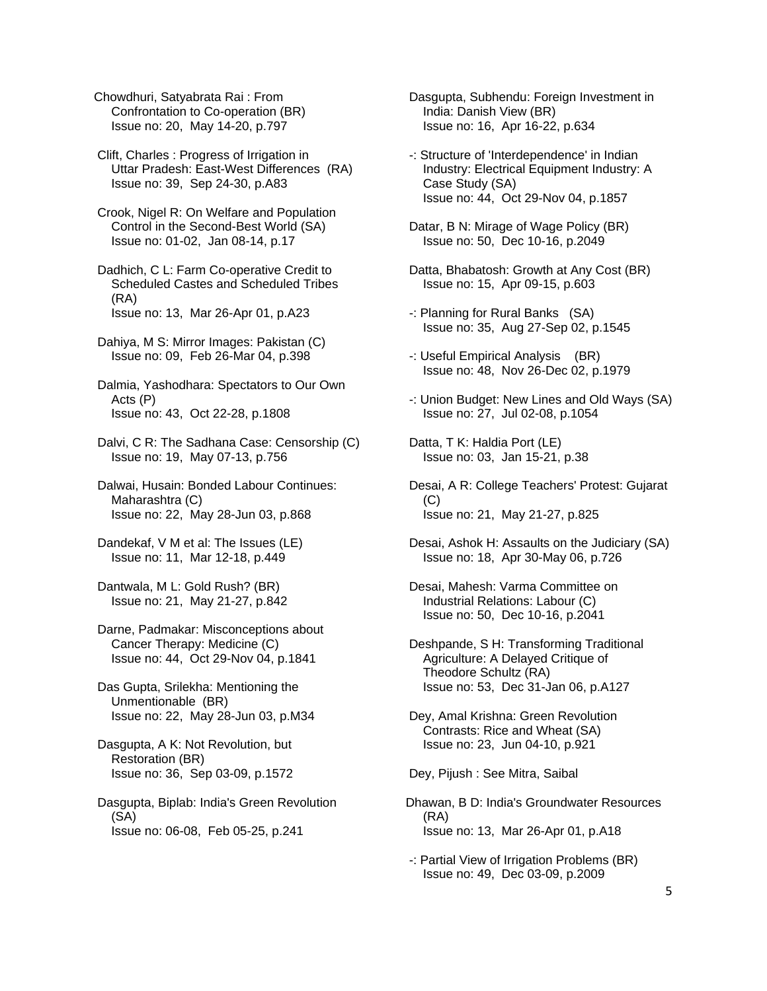Chowdhuri, Satyabrata Rai : From Confrontation to Co-operation (BR) Issue no: 20, May 14-20, p.797

 Clift, Charles : Progress of Irrigation in Uttar Pradesh: East-West Differences (RA) Issue no: 39, Sep 24-30, p.A83

 Crook, Nigel R: On Welfare and Population Control in the Second-Best World (SA) Issue no: 01-02, Jan 08-14, p.17

 Dadhich, C L: Farm Co-operative Credit to Scheduled Castes and Scheduled Tribes (RA) Issue no: 13, Mar 26-Apr 01, p.A23

 Dahiya, M S: Mirror Images: Pakistan (C) Issue no: 09, Feb 26-Mar 04, p.398

 Dalmia, Yashodhara: Spectators to Our Own Acts (P) Issue no: 43, Oct 22-28, p.1808

 Dalvi, C R: The Sadhana Case: Censorship (C) Issue no: 19, May 07-13, p.756

 Dalwai, Husain: Bonded Labour Continues: Maharashtra (C) Issue no: 22, May 28-Jun 03, p.868

 Dandekaf, V M et al: The Issues (LE) Issue no: 11, Mar 12-18, p.449

 Dantwala, M L: Gold Rush? (BR) Issue no: 21, May 21-27, p.842

 Darne, Padmakar: Misconceptions about Cancer Therapy: Medicine (C) Issue no: 44, Oct 29-Nov 04, p.1841

 Das Gupta, Srilekha: Mentioning the Unmentionable (BR) Issue no: 22, May 28-Jun 03, p.M34

 Dasgupta, A K: Not Revolution, but Restoration (BR) Issue no: 36, Sep 03-09, p.1572

 Dasgupta, Biplab: India's Green Revolution (SA) Issue no: 06-08, Feb 05-25, p.241

 Dasgupta, Subhendu: Foreign Investment in India: Danish View (BR) Issue no: 16, Apr 16-22, p.634

 -: Structure of 'Interdependence' in Indian Industry: Electrical Equipment Industry: A Case Study (SA) Issue no: 44, Oct 29-Nov 04, p.1857

 Datar, B N: Mirage of Wage Policy (BR) Issue no: 50, Dec 10-16, p.2049

 Datta, Bhabatosh: Growth at Any Cost (BR) Issue no: 15, Apr 09-15, p.603

 -: Planning for Rural Banks (SA) Issue no: 35, Aug 27-Sep 02, p.1545

 -: Useful Empirical Analysis (BR) Issue no: 48, Nov 26-Dec 02, p.1979

 -: Union Budget: New Lines and Old Ways (SA) Issue no: 27, Jul 02-08, p.1054

 Datta, T K: Haldia Port (LE) Issue no: 03, Jan 15-21, p.38

 Desai, A R: College Teachers' Protest: Gujarat (C) Issue no: 21, May 21-27, p.825

 Desai, Ashok H: Assaults on the Judiciary (SA) Issue no: 18, Apr 30-May 06, p.726

 Desai, Mahesh: Varma Committee on Industrial Relations: Labour (C) Issue no: 50, Dec 10-16, p.2041

 Deshpande, S H: Transforming Traditional Agriculture: A Delayed Critique of Theodore Schultz (RA) Issue no: 53, Dec 31-Jan 06, p.A127

 Dey, Amal Krishna: Green Revolution Contrasts: Rice and Wheat (SA) Issue no: 23, Jun 04-10, p.921

Dey, Pijush : See Mitra, Saibal

Dhawan, B D: India's Groundwater Resources (RA) Issue no: 13, Mar 26-Apr 01, p.A18

 -: Partial View of Irrigation Problems (BR) Issue no: 49, Dec 03-09, p.2009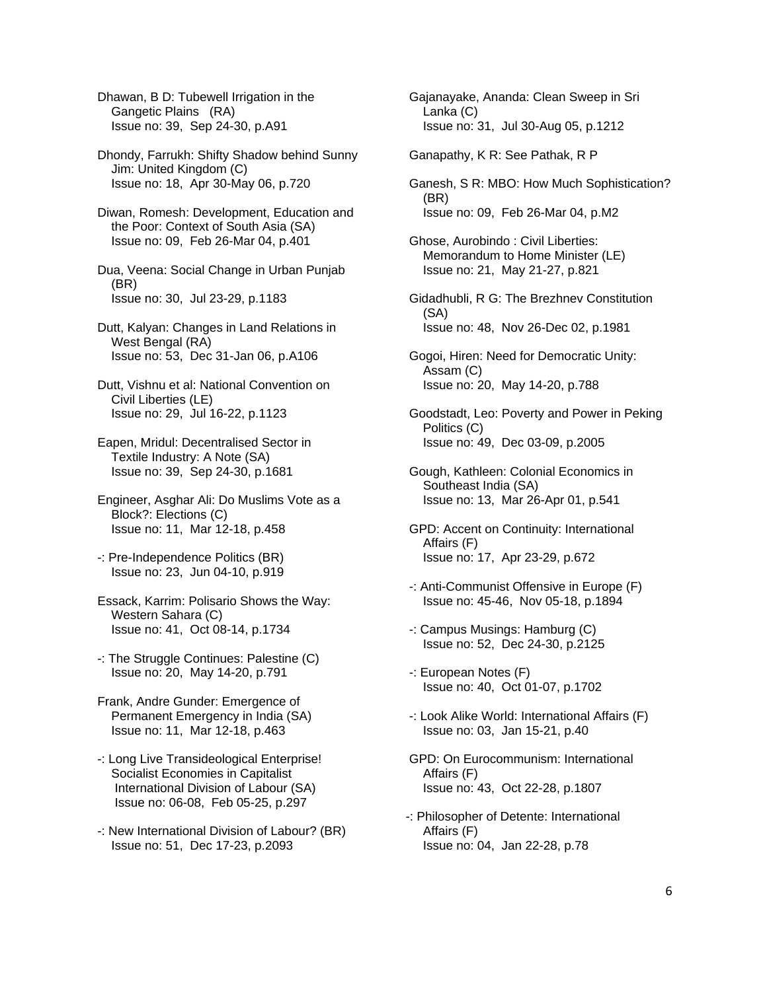Dhawan, B D: Tubewell Irrigation in the Gangetic Plains (RA) Issue no: 39, Sep 24-30, p.A91

 Dhondy, Farrukh: Shifty Shadow behind Sunny Jim: United Kingdom (C) Issue no: 18, Apr 30-May 06, p.720

 Diwan, Romesh: Development, Education and the Poor: Context of South Asia (SA) Issue no: 09, Feb 26-Mar 04, p.401

 Dua, Veena: Social Change in Urban Punjab (BR) Issue no: 30, Jul 23-29, p.1183

 Dutt, Kalyan: Changes in Land Relations in West Bengal (RA) Issue no: 53, Dec 31-Jan 06, p.A106

 Dutt, Vishnu et al: National Convention on Civil Liberties (LE) Issue no: 29, Jul 16-22, p.1123

 Eapen, Mridul: Decentralised Sector in Textile Industry: A Note (SA) Issue no: 39, Sep 24-30, p.1681

 Engineer, Asghar Ali: Do Muslims Vote as a Block?: Elections (C) Issue no: 11, Mar 12-18, p.458

 -: Pre-Independence Politics (BR) Issue no: 23, Jun 04-10, p.919

 Essack, Karrim: Polisario Shows the Way: Western Sahara (C) Issue no: 41, Oct 08-14, p.1734

 -: The Struggle Continues: Palestine (C) Issue no: 20, May 14-20, p.791

 Frank, Andre Gunder: Emergence of Permanent Emergency in India (SA) Issue no: 11, Mar 12-18, p.463

 -: Long Live Transideological Enterprise! Socialist Economies in Capitalist International Division of Labour (SA) Issue no: 06-08, Feb 05-25, p.297

 -: New International Division of Labour? (BR) Issue no: 51, Dec 17-23, p.2093

 Gajanayake, Ananda: Clean Sweep in Sri Lanka (C) Issue no: 31, Jul 30-Aug 05, p.1212

Ganapathy, K R: See Pathak, R P

 Ganesh, S R: MBO: How Much Sophistication? (BR) Issue no: 09, Feb 26-Mar 04, p.M2

 Ghose, Aurobindo : Civil Liberties: Memorandum to Home Minister (LE) Issue no: 21, May 21-27, p.821

 Gidadhubli, R G: The Brezhnev Constitution (SA) Issue no: 48, Nov 26-Dec 02, p.1981

 Gogoi, Hiren: Need for Democratic Unity: Assam (C) Issue no: 20, May 14-20, p.788

 Goodstadt, Leo: Poverty and Power in Peking Politics (C) Issue no: 49, Dec 03-09, p.2005

 Gough, Kathleen: Colonial Economics in Southeast India (SA) Issue no: 13, Mar 26-Apr 01, p.541

 GPD: Accent on Continuity: International Affairs (F) Issue no: 17, Apr 23-29, p.672

 -: Anti-Communist Offensive in Europe (F) Issue no: 45-46, Nov 05-18, p.1894

 -: Campus Musings: Hamburg (C) Issue no: 52, Dec 24-30, p.2125

 -: European Notes (F) Issue no: 40, Oct 01-07, p.1702

 -: Look Alike World: International Affairs (F) Issue no: 03, Jan 15-21, p.40

 GPD: On Eurocommunism: International Affairs (F) Issue no: 43, Oct 22-28, p.1807

-: Philosopher of Detente: International Affairs (F) Issue no: 04, Jan 22-28, p.78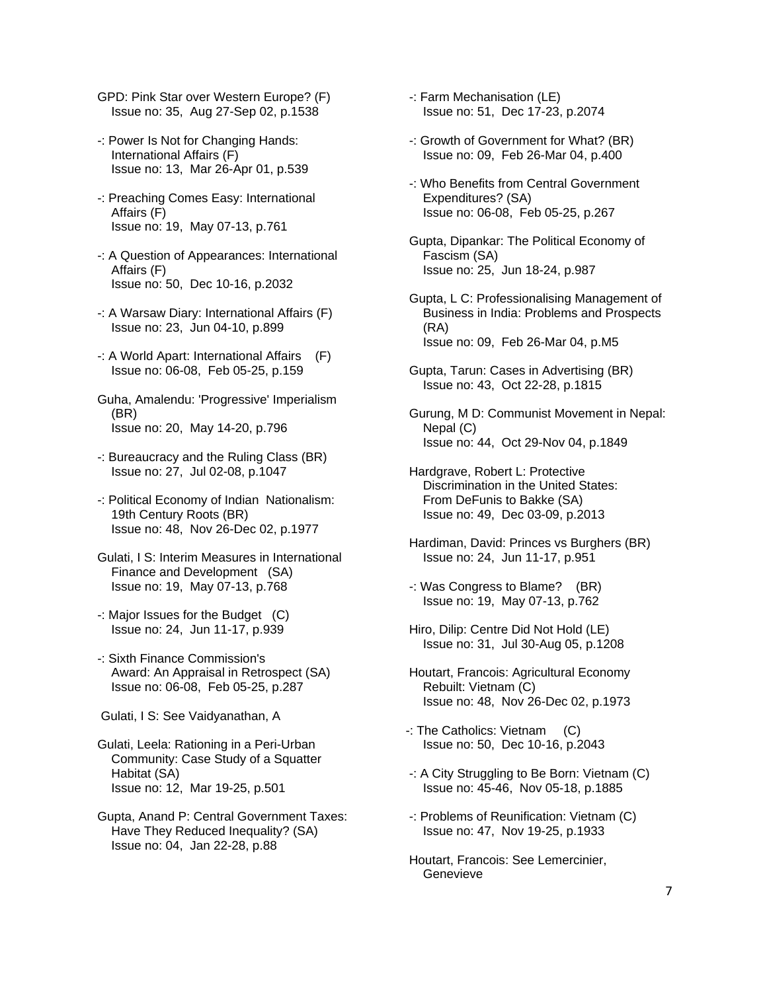- GPD: Pink Star over Western Europe? (F) Issue no: 35, Aug 27-Sep 02, p.1538
- -: Power Is Not for Changing Hands: International Affairs (F) Issue no: 13, Mar 26-Apr 01, p.539
- -: Preaching Comes Easy: International Affairs (F) Issue no: 19, May 07-13, p.761
- -: A Question of Appearances: International Affairs (F) Issue no: 50, Dec 10-16, p.2032
- -: A Warsaw Diary: International Affairs (F) Issue no: 23, Jun 04-10, p.899
- -: A World Apart: International Affairs (F) Issue no: 06-08, Feb 05-25, p.159
- Guha, Amalendu: 'Progressive' Imperialism (BR) Issue no: 20, May 14-20, p.796
- -: Bureaucracy and the Ruling Class (BR) Issue no: 27, Jul 02-08, p.1047
- -: Political Economy of Indian Nationalism: 19th Century Roots (BR) Issue no: 48, Nov 26-Dec 02, p.1977
- Gulati, I S: Interim Measures in International Finance and Development (SA) Issue no: 19, May 07-13, p.768
- -: Major Issues for the Budget (C) Issue no: 24, Jun 11-17, p.939
- -: Sixth Finance Commission's Award: An Appraisal in Retrospect (SA) Issue no: 06-08, Feb 05-25, p.287
- Gulati, I S: See Vaidyanathan, A
- Gulati, Leela: Rationing in a Peri-Urban Community: Case Study of a Squatter Habitat (SA) Issue no: 12, Mar 19-25, p.501
- Gupta, Anand P: Central Government Taxes: Have They Reduced Inequality? (SA) Issue no: 04, Jan 22-28, p.88
- -: Farm Mechanisation (LE) Issue no: 51, Dec 17-23, p.2074
- -: Growth of Government for What? (BR) Issue no: 09, Feb 26-Mar 04, p.400
- -: Who Benefits from Central Government Expenditures? (SA) Issue no: 06-08, Feb 05-25, p.267
- Gupta, Dipankar: The Political Economy of Fascism (SA) Issue no: 25, Jun 18-24, p.987
- Gupta, L C: Professionalising Management of Business in India: Problems and Prospects (RA) Issue no: 09, Feb 26-Mar 04, p.M5
- Gupta, Tarun: Cases in Advertising (BR) Issue no: 43, Oct 22-28, p.1815
- Gurung, M D: Communist Movement in Nepal: Nepal (C) Issue no: 44, Oct 29-Nov 04, p.1849
- Hardgrave, Robert L: Protective Discrimination in the United States: From DeFunis to Bakke (SA) Issue no: 49, Dec 03-09, p.2013
- Hardiman, David: Princes vs Burghers (BR) Issue no: 24, Jun 11-17, p.951
- -: Was Congress to Blame? (BR) Issue no: 19, May 07-13, p.762
- Hiro, Dilip: Centre Did Not Hold (LE) Issue no: 31, Jul 30-Aug 05, p.1208
- Houtart, Francois: Agricultural Economy Rebuilt: Vietnam (C) Issue no: 48, Nov 26-Dec 02, p.1973
- -: The Catholics: Vietnam (C) Issue no: 50, Dec 10-16, p.2043
- -: A City Struggling to Be Born: Vietnam (C) Issue no: 45-46, Nov 05-18, p.1885
- -: Problems of Reunification: Vietnam (C) Issue no: 47, Nov 19-25, p.1933
- Houtart, Francois: See Lemercinier, **Genevieve**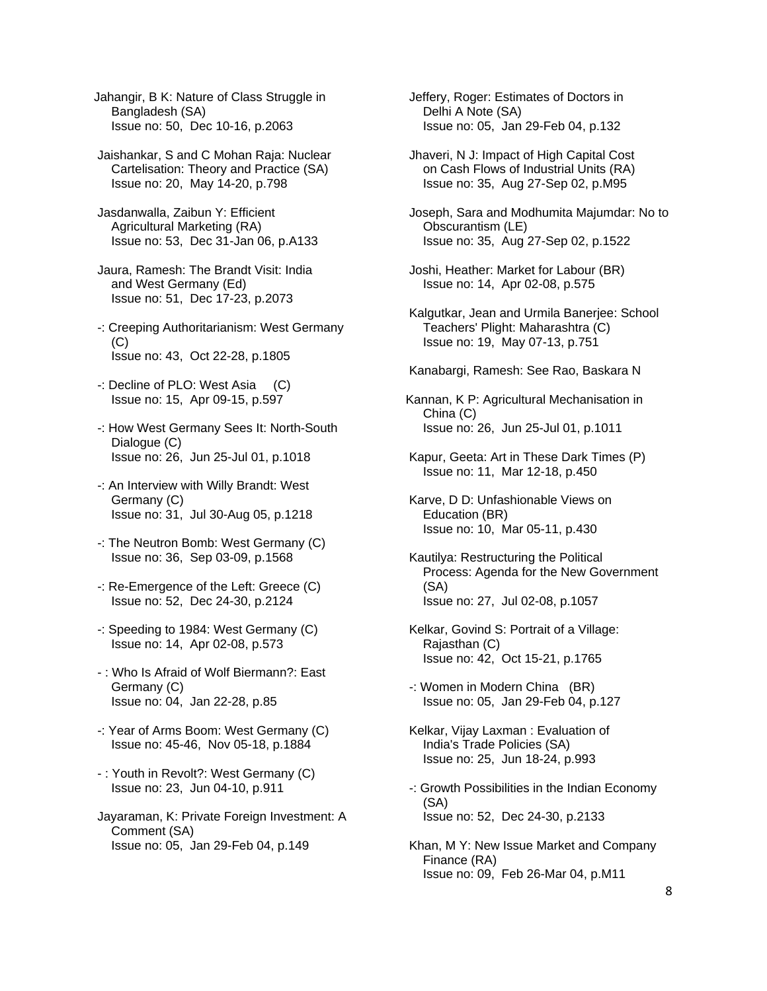Jahangir, B K: Nature of Class Struggle in Bangladesh (SA) Issue no: 50, Dec 10-16, p.2063

 Jaishankar, S and C Mohan Raja: Nuclear Cartelisation: Theory and Practice (SA) Issue no: 20, May 14-20, p.798

- Jasdanwalla, Zaibun Y: Efficient Agricultural Marketing (RA) Issue no: 53, Dec 31-Jan 06, p.A133
- Jaura, Ramesh: The Brandt Visit: India and West Germany (Ed) Issue no: 51, Dec 17-23, p.2073
- -: Creeping Authoritarianism: West Germany (C) Issue no: 43, Oct 22-28, p.1805
- -: Decline of PLO: West Asia (C) Issue no: 15, Apr 09-15, p.597
- -: How West Germany Sees It: North-South Dialogue (C) Issue no: 26, Jun 25-Jul 01, p.1018
- -: An Interview with Willy Brandt: West Germany (C) Issue no: 31, Jul 30-Aug 05, p.1218
- -: The Neutron Bomb: West Germany (C) Issue no: 36, Sep 03-09, p.1568
- -: Re-Emergence of the Left: Greece (C) Issue no: 52, Dec 24-30, p.2124
- -: Speeding to 1984: West Germany (C) Issue no: 14, Apr 02-08, p.573
- : Who Is Afraid of Wolf Biermann?: East Germany (C) Issue no: 04, Jan 22-28, p.85
- -: Year of Arms Boom: West Germany (C) Issue no: 45-46, Nov 05-18, p.1884
- : Youth in Revolt?: West Germany (C) Issue no: 23, Jun 04-10, p.911
- Jayaraman, K: Private Foreign Investment: A Comment (SA) Issue no: 05, Jan 29-Feb 04, p.149

 Jeffery, Roger: Estimates of Doctors in Delhi A Note (SA) Issue no: 05, Jan 29-Feb 04, p.132

 Jhaveri, N J: Impact of High Capital Cost on Cash Flows of Industrial Units (RA) Issue no: 35, Aug 27-Sep 02, p.M95

 Joseph, Sara and Modhumita Majumdar: No to Obscurantism (LE) Issue no: 35, Aug 27-Sep 02, p.1522

- Joshi, Heather: Market for Labour (BR) Issue no: 14, Apr 02-08, p.575
- Kalgutkar, Jean and Urmila Banerjee: School Teachers' Plight: Maharashtra (C) Issue no: 19, May 07-13, p.751
- Kanabargi, Ramesh: See Rao, Baskara N
- Kannan, K P: Agricultural Mechanisation in China (C) Issue no: 26, Jun 25-Jul 01, p.1011
- Kapur, Geeta: Art in These Dark Times (P) Issue no: 11, Mar 12-18, p.450
- Karve, D D: Unfashionable Views on Education (BR) Issue no: 10, Mar 05-11, p.430
- Kautilya: Restructuring the Political Process: Agenda for the New Government (SA) Issue no: 27, Jul 02-08, p.1057
- Kelkar, Govind S: Portrait of a Village: Rajasthan (C) Issue no: 42, Oct 15-21, p.1765
- -: Women in Modern China (BR) Issue no: 05, Jan 29-Feb 04, p.127
- Kelkar, Vijay Laxman : Evaluation of India's Trade Policies (SA) Issue no: 25, Jun 18-24, p.993
- -: Growth Possibilities in the Indian Economy (SA) Issue no: 52, Dec 24-30, p.2133
- Khan, M Y: New Issue Market and Company Finance (RA) Issue no: 09, Feb 26-Mar 04, p.M11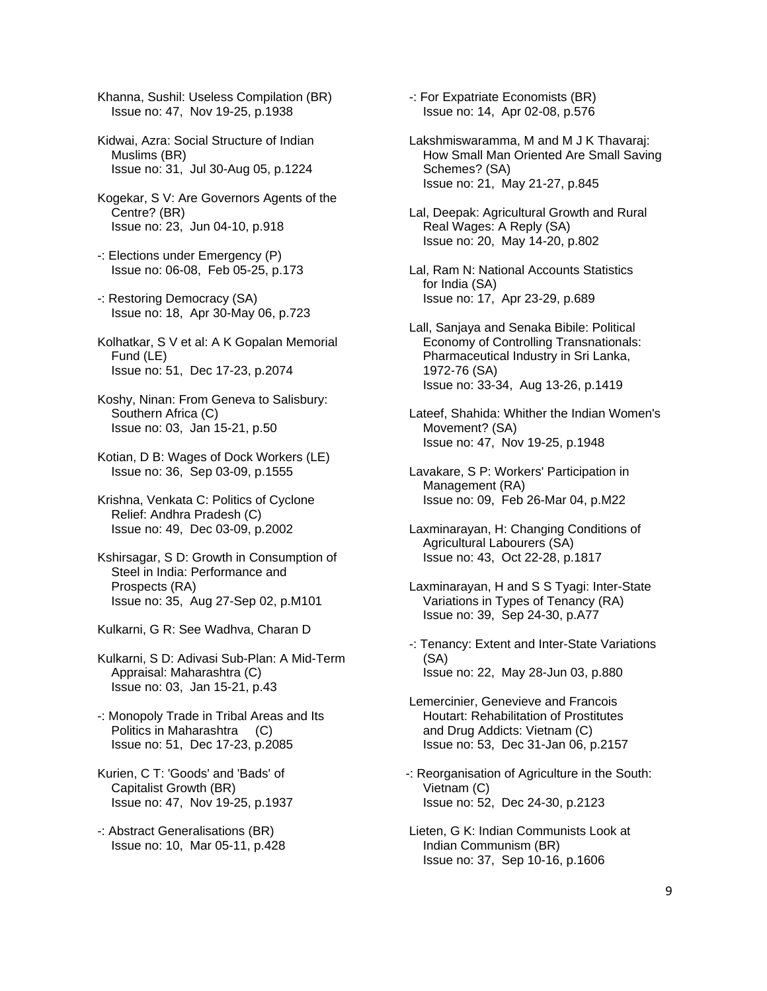Khanna, Sushil: Useless Compilation (BR) Issue no: 47, Nov 19-25, p.1938

- Kidwai, Azra: Social Structure of Indian Muslims (BR) Issue no: 31, Jul 30-Aug 05, p.1224
- Kogekar, S V: Are Governors Agents of the Centre? (BR) Issue no: 23, Jun 04-10, p.918
- -: Elections under Emergency (P) Issue no: 06-08, Feb 05-25, p.173
- -: Restoring Democracy (SA) Issue no: 18, Apr 30-May 06, p.723
- Kolhatkar, S V et al: A K Gopalan Memorial Fund (LE) Issue no: 51, Dec 17-23, p.2074
- Koshy, Ninan: From Geneva to Salisbury: Southern Africa (C) Issue no: 03, Jan 15-21, p.50
- Kotian, D B: Wages of Dock Workers (LE) Issue no: 36, Sep 03-09, p.1555
- Krishna, Venkata C: Politics of Cyclone Relief: Andhra Pradesh (C) Issue no: 49, Dec 03-09, p.2002
- Kshirsagar, S D: Growth in Consumption of Steel in India: Performance and Prospects (RA) Issue no: 35, Aug 27-Sep 02, p.M101
- Kulkarni, G R: See Wadhva, Charan D
- Kulkarni, S D: Adivasi Sub-Plan: A Mid-Term Appraisal: Maharashtra (C) Issue no: 03, Jan 15-21, p.43
- -: Monopoly Trade in Tribal Areas and Its Politics in Maharashtra (C) Issue no: 51, Dec 17-23, p.2085
- Kurien, C T: 'Goods' and 'Bads' of Capitalist Growth (BR) Issue no: 47, Nov 19-25, p.1937
- -: Abstract Generalisations (BR) Issue no: 10, Mar 05-11, p.428

 -: For Expatriate Economists (BR) Issue no: 14, Apr 02-08, p.576

- Lakshmiswaramma, M and M J K Thavaraj: How Small Man Oriented Are Small Saving Schemes? (SA) Issue no: 21, May 21-27, p.845
- Lal, Deepak: Agricultural Growth and Rural Real Wages: A Reply (SA) Issue no: 20, May 14-20, p.802
- Lal, Ram N: National Accounts Statistics for India (SA) Issue no: 17, Apr 23-29, p.689
- Lall, Sanjaya and Senaka Bibile: Political Economy of Controlling Transnationals: Pharmaceutical Industry in Sri Lanka, 1972-76 (SA) Issue no: 33-34, Aug 13-26, p.1419
- Lateef, Shahida: Whither the Indian Women's Movement? (SA) Issue no: 47, Nov 19-25, p.1948
- Lavakare, S P: Workers' Participation in Management (RA) Issue no: 09, Feb 26-Mar 04, p.M22
- Laxminarayan, H: Changing Conditions of Agricultural Labourers (SA) Issue no: 43, Oct 22-28, p.1817
- Laxminarayan, H and S S Tyagi: Inter-State Variations in Types of Tenancy (RA) Issue no: 39, Sep 24-30, p.A77
- -: Tenancy: Extent and Inter-State Variations (SA) Issue no: 22, May 28-Jun 03, p.880
- Lemercinier, Genevieve and Francois Houtart: Rehabilitation of Prostitutes and Drug Addicts: Vietnam (C) Issue no: 53, Dec 31-Jan 06, p.2157
- -: Reorganisation of Agriculture in the South: Vietnam (C) Issue no: 52, Dec 24-30, p.2123
- Lieten, G K: Indian Communists Look at Indian Communism (BR) Issue no: 37, Sep 10-16, p.1606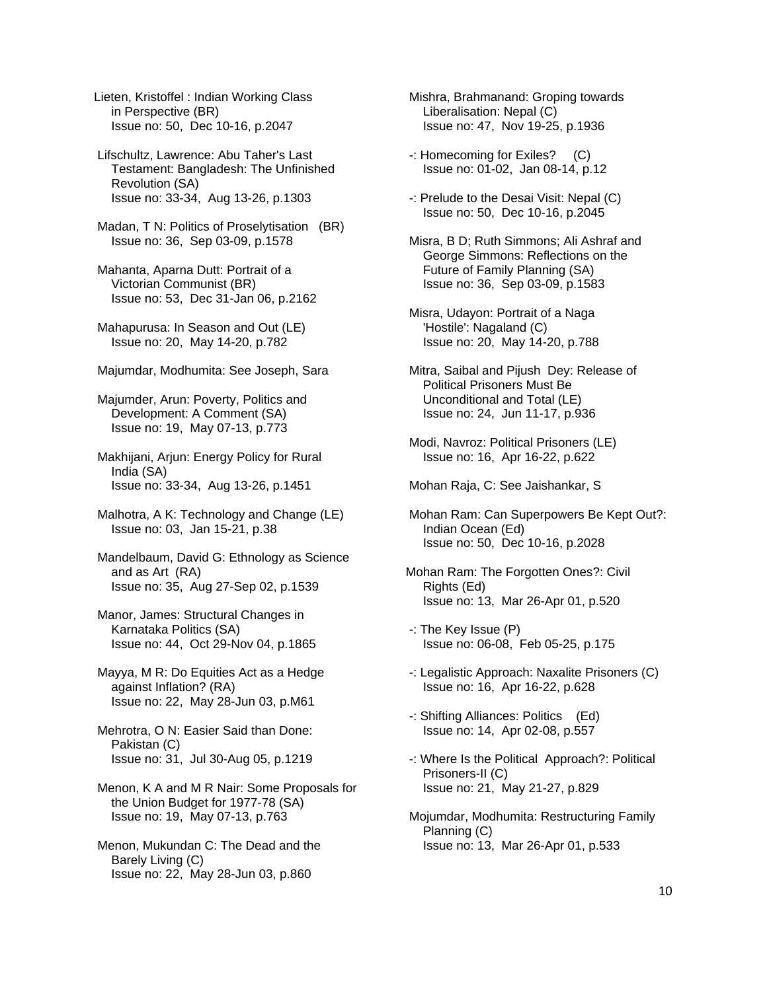Lieten, Kristoffel : Indian Working Class in Perspective (BR) Issue no: 50, Dec 10-16, p.2047

 Lifschultz, Lawrence: Abu Taher's Last Testament: Bangladesh: The Unfinished Revolution (SA) Issue no: 33-34, Aug 13-26, p.1303

 Madan, T N: Politics of Proselytisation (BR) Issue no: 36, Sep 03-09, p.1578

 Mahanta, Aparna Dutt: Portrait of a Victorian Communist (BR) Issue no: 53, Dec 31-Jan 06, p.2162

 Mahapurusa: In Season and Out (LE) Issue no: 20, May 14-20, p.782

Majumdar, Modhumita: See Joseph, Sara

 Majumder, Arun: Poverty, Politics and Development: A Comment (SA) Issue no: 19, May 07-13, p.773

 Makhijani, Arjun: Energy Policy for Rural India (SA) Issue no: 33-34, Aug 13-26, p.1451

 Malhotra, A K: Technology and Change (LE) Issue no: 03, Jan 15-21, p.38

 Mandelbaum, David G: Ethnology as Science and as Art (RA) Issue no: 35, Aug 27-Sep 02, p.1539

 Manor, James: Structural Changes in Karnataka Politics (SA) Issue no: 44, Oct 29-Nov 04, p.1865

 Mayya, M R: Do Equities Act as a Hedge against Inflation? (RA) Issue no: 22, May 28-Jun 03, p.M61

 Mehrotra, O N: Easier Said than Done: Pakistan (C) Issue no: 31, Jul 30-Aug 05, p.1219

 Menon, K A and M R Nair: Some Proposals for the Union Budget for 1977-78 (SA) Issue no: 19, May 07-13, p.763

 Menon, Mukundan C: The Dead and the Barely Living (C) Issue no: 22, May 28-Jun 03, p.860

 Mishra, Brahmanand: Groping towards Liberalisation: Nepal (C) Issue no: 47, Nov 19-25, p.1936

 -: Homecoming for Exiles? (C) Issue no: 01-02, Jan 08-14, p.12

 -: Prelude to the Desai Visit: Nepal (C) Issue no: 50, Dec 10-16, p.2045

 Misra, B D; Ruth Simmons; Ali Ashraf and George Simmons: Reflections on the Future of Family Planning (SA) Issue no: 36, Sep 03-09, p.1583

 Misra, Udayon: Portrait of a Naga 'Hostile': Nagaland (C) Issue no: 20, May 14-20, p.788

 Mitra, Saibal and Pijush Dey: Release of Political Prisoners Must Be Unconditional and Total (LE) Issue no: 24, Jun 11-17, p.936

 Modi, Navroz: Political Prisoners (LE) Issue no: 16, Apr 16-22, p.622

Mohan Raja, C: See Jaishankar, S

 Mohan Ram: Can Superpowers Be Kept Out?: Indian Ocean (Ed) Issue no: 50, Dec 10-16, p.2028

Mohan Ram: The Forgotten Ones?: Civil Rights (Ed) Issue no: 13, Mar 26-Apr 01, p.520

 -: The Key Issue (P) Issue no: 06-08, Feb 05-25, p.175

 -: Legalistic Approach: Naxalite Prisoners (C) Issue no: 16, Apr 16-22, p.628

 -: Shifting Alliances: Politics (Ed) Issue no: 14, Apr 02-08, p.557

 -: Where Is the Political Approach?: Political Prisoners-II (C) Issue no: 21, May 21-27, p.829

 Mojumdar, Modhumita: Restructuring Family Planning (C) Issue no: 13, Mar 26-Apr 01, p.533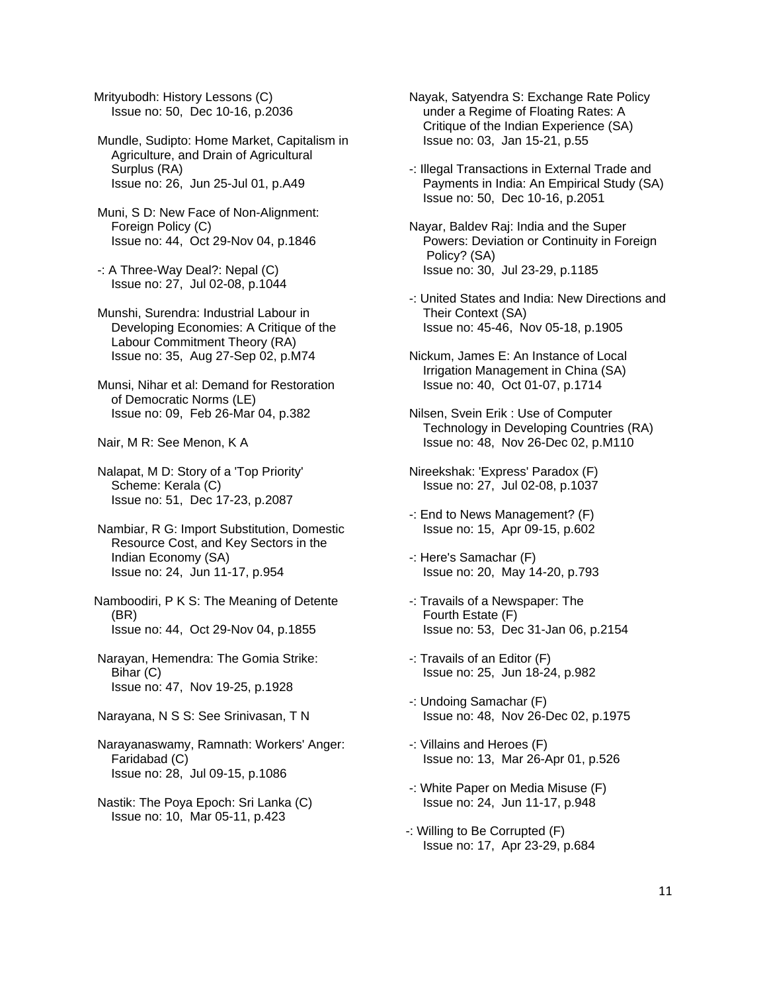Mrityubodh: History Lessons (C) Issue no: 50, Dec 10-16, p.2036

 Mundle, Sudipto: Home Market, Capitalism in Agriculture, and Drain of Agricultural Surplus (RA) Issue no: 26, Jun 25-Jul 01, p.A49

 Muni, S D: New Face of Non-Alignment: Foreign Policy (C) Issue no: 44, Oct 29-Nov 04, p.1846

 -: A Three-Way Deal?: Nepal (C) Issue no: 27, Jul 02-08, p.1044

 Munshi, Surendra: Industrial Labour in Developing Economies: A Critique of the Labour Commitment Theory (RA) Issue no: 35, Aug 27-Sep 02, p.M74

 Munsi, Nihar et al: Demand for Restoration of Democratic Norms (LE) Issue no: 09, Feb 26-Mar 04, p.382

Nair, M R: See Menon, K A

 Nalapat, M D: Story of a 'Top Priority' Scheme: Kerala (C) Issue no: 51, Dec 17-23, p.2087

 Nambiar, R G: Import Substitution, Domestic Resource Cost, and Key Sectors in the Indian Economy (SA) Issue no: 24, Jun 11-17, p.954

Namboodiri, P K S: The Meaning of Detente (BR) Issue no: 44, Oct 29-Nov 04, p.1855

 Narayan, Hemendra: The Gomia Strike: Bihar (C) Issue no: 47, Nov 19-25, p.1928

Narayana, N S S: See Srinivasan, T N

 Narayanaswamy, Ramnath: Workers' Anger: Faridabad (C) Issue no: 28, Jul 09-15, p.1086

 Nastik: The Poya Epoch: Sri Lanka (C) Issue no: 10, Mar 05-11, p.423

 Nayak, Satyendra S: Exchange Rate Policy under a Regime of Floating Rates: A Critique of the Indian Experience (SA) Issue no: 03, Jan 15-21, p.55

 -: Illegal Transactions in External Trade and Payments in India: An Empirical Study (SA) Issue no: 50, Dec 10-16, p.2051

 Nayar, Baldev Raj: India and the Super Powers: Deviation or Continuity in Foreign Policy? (SA) Issue no: 30, Jul 23-29, p.1185

- -: United States and India: New Directions and Their Context (SA) Issue no: 45-46, Nov 05-18, p.1905
- Nickum, James E: An Instance of Local Irrigation Management in China (SA) Issue no: 40, Oct 01-07, p.1714

 Nilsen, Svein Erik : Use of Computer Technology in Developing Countries (RA) Issue no: 48, Nov 26-Dec 02, p.M110

- Nireekshak: 'Express' Paradox (F) Issue no: 27, Jul 02-08, p.1037
- -: End to News Management? (F) Issue no: 15, Apr 09-15, p.602
- -: Here's Samachar (F) Issue no: 20, May 14-20, p.793
- -: Travails of a Newspaper: The Fourth Estate (F) Issue no: 53, Dec 31-Jan 06, p.2154
- -: Travails of an Editor (F) Issue no: 25, Jun 18-24, p.982
- -: Undoing Samachar (F) Issue no: 48, Nov 26-Dec 02, p.1975
- -: Villains and Heroes (F) Issue no: 13, Mar 26-Apr 01, p.526
- -: White Paper on Media Misuse (F) Issue no: 24, Jun 11-17, p.948
- -: Willing to Be Corrupted (F) Issue no: 17, Apr 23-29, p.684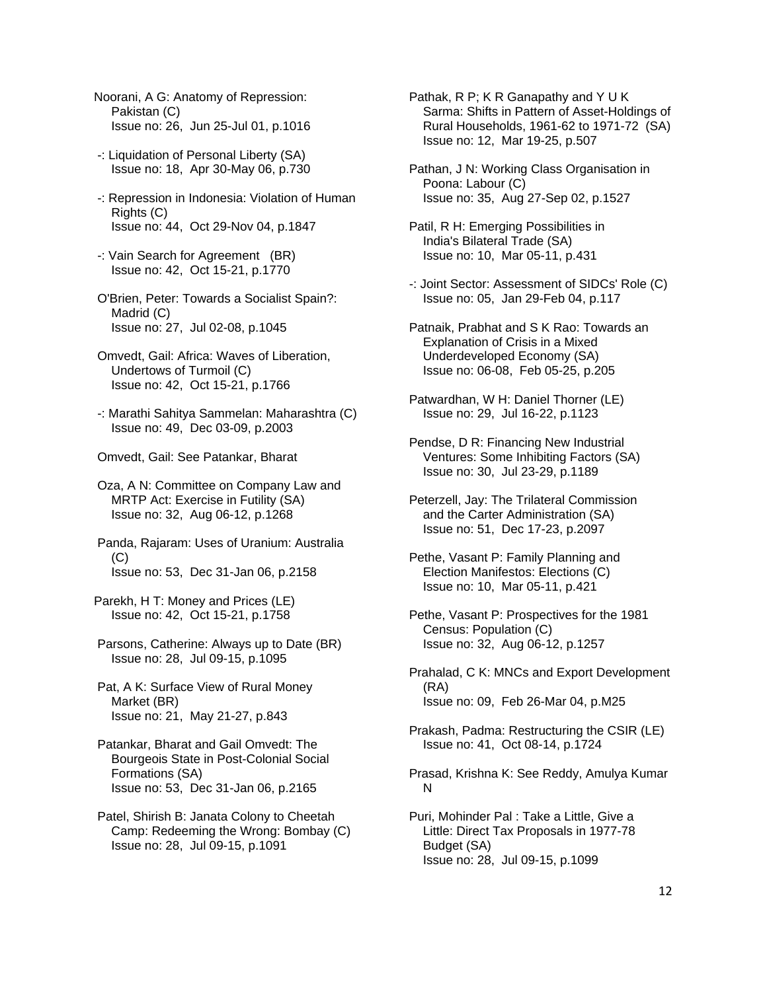- Noorani, A G: Anatomy of Repression: Pakistan (C) Issue no: 26, Jun 25-Jul 01, p.1016
- -: Liquidation of Personal Liberty (SA) Issue no: 18, Apr 30-May 06, p.730
- -: Repression in Indonesia: Violation of Human Rights (C) Issue no: 44, Oct 29-Nov 04, p.1847
- -: Vain Search for Agreement (BR) Issue no: 42, Oct 15-21, p.1770
- O'Brien, Peter: Towards a Socialist Spain?: Madrid (C) Issue no: 27, Jul 02-08, p.1045
- Omvedt, Gail: Africa: Waves of Liberation, Undertows of Turmoil (C) Issue no: 42, Oct 15-21, p.1766
- -: Marathi Sahitya Sammelan: Maharashtra (C) Issue no: 49, Dec 03-09, p.2003
- Omvedt, Gail: See Patankar, Bharat

 Oza, A N: Committee on Company Law and MRTP Act: Exercise in Futility (SA) Issue no: 32, Aug 06-12, p.1268

- Panda, Rajaram: Uses of Uranium: Australia  $(C)$ Issue no: 53, Dec 31-Jan 06, p.2158
- Parekh, H T: Money and Prices (LE) Issue no: 42, Oct 15-21, p.1758
- Parsons, Catherine: Always up to Date (BR) Issue no: 28, Jul 09-15, p.1095
- Pat, A K: Surface View of Rural Money Market (BR) Issue no: 21, May 21-27, p.843
- Patankar, Bharat and Gail Omvedt: The Bourgeois State in Post-Colonial Social Formations (SA) Issue no: 53, Dec 31-Jan 06, p.2165
- Patel, Shirish B: Janata Colony to Cheetah Camp: Redeeming the Wrong: Bombay (C) Issue no: 28, Jul 09-15, p.1091

 Pathak, R P; K R Ganapathy and Y U K Sarma: Shifts in Pattern of Asset-Holdings of Rural Households, 1961-62 to 1971-72 (SA) Issue no: 12, Mar 19-25, p.507

- Pathan, J N: Working Class Organisation in Poona: Labour (C) Issue no: 35, Aug 27-Sep 02, p.1527
- Patil, R H: Emerging Possibilities in India's Bilateral Trade (SA) Issue no: 10, Mar 05-11, p.431
- -: Joint Sector: Assessment of SIDCs' Role (C) Issue no: 05, Jan 29-Feb 04, p.117
- Patnaik, Prabhat and S K Rao: Towards an Explanation of Crisis in a Mixed Underdeveloped Economy (SA) Issue no: 06-08, Feb 05-25, p.205
- Patwardhan, W H: Daniel Thorner (LE) Issue no: 29, Jul 16-22, p.1123
- Pendse, D R: Financing New Industrial Ventures: Some Inhibiting Factors (SA) Issue no: 30, Jul 23-29, p.1189

 Peterzell, Jay: The Trilateral Commission and the Carter Administration (SA) Issue no: 51, Dec 17-23, p.2097

- Pethe, Vasant P: Family Planning and Election Manifestos: Elections (C) Issue no: 10, Mar 05-11, p.421
- Pethe, Vasant P: Prospectives for the 1981 Census: Population (C) Issue no: 32, Aug 06-12, p.1257
- Prahalad, C K: MNCs and Export Development (RA) Issue no: 09, Feb 26-Mar 04, p.M25

 Prakash, Padma: Restructuring the CSIR (LE) Issue no: 41, Oct 08-14, p.1724

 Prasad, Krishna K: See Reddy, Amulya Kumar N

 Puri, Mohinder Pal : Take a Little, Give a Little: Direct Tax Proposals in 1977-78 Budget (SA) Issue no: 28, Jul 09-15, p.1099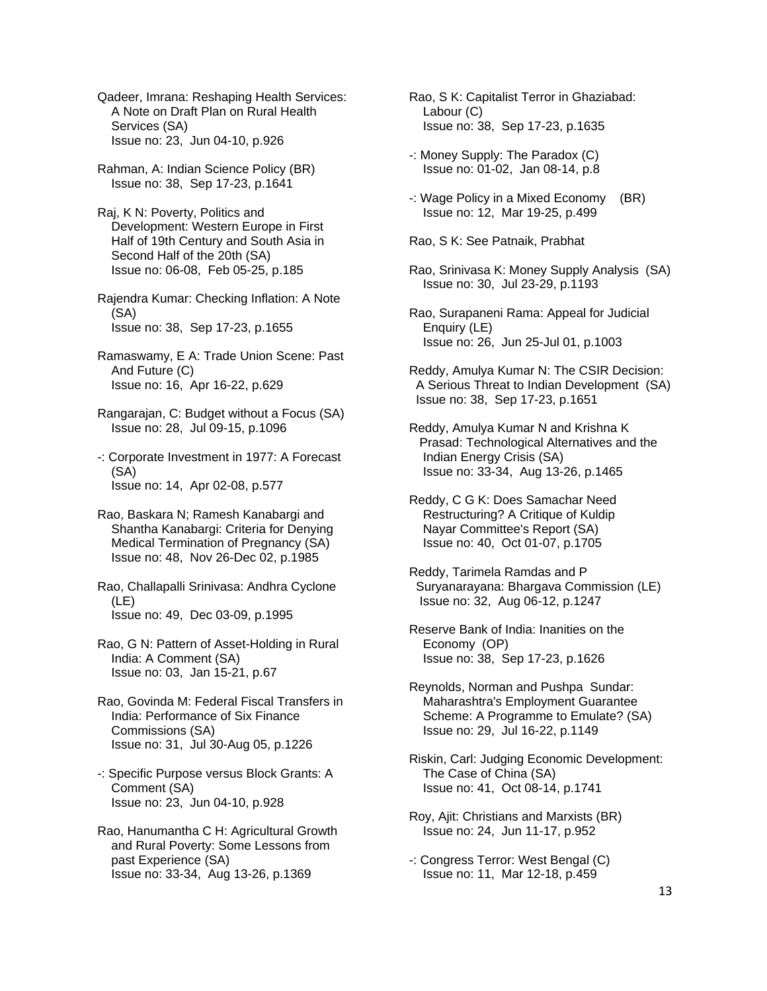Qadeer, Imrana: Reshaping Health Services: A Note on Draft Plan on Rural Health Services (SA) Issue no: 23, Jun 04-10, p.926

 Rahman, A: Indian Science Policy (BR) Issue no: 38, Sep 17-23, p.1641

 Raj, K N: Poverty, Politics and Development: Western Europe in First Half of 19th Century and South Asia in Second Half of the 20th (SA) Issue no: 06-08, Feb 05-25, p.185

 Rajendra Kumar: Checking Inflation: A Note (SA) Issue no: 38, Sep 17-23, p.1655

 Ramaswamy, E A: Trade Union Scene: Past And Future (C) Issue no: 16, Apr 16-22, p.629

- Rangarajan, C: Budget without a Focus (SA) Issue no: 28, Jul 09-15, p.1096
- -: Corporate Investment in 1977: A Forecast (SA) Issue no: 14, Apr 02-08, p.577
- Rao, Baskara N; Ramesh Kanabargi and Shantha Kanabargi: Criteria for Denying Medical Termination of Pregnancy (SA) Issue no: 48, Nov 26-Dec 02, p.1985

 Rao, Challapalli Srinivasa: Andhra Cyclone (LE) Issue no: 49, Dec 03-09, p.1995

 Rao, G N: Pattern of Asset-Holding in Rural India: A Comment (SA) Issue no: 03, Jan 15-21, p.67

 Rao, Govinda M: Federal Fiscal Transfers in India: Performance of Six Finance Commissions (SA) Issue no: 31, Jul 30-Aug 05, p.1226

 -: Specific Purpose versus Block Grants: A Comment (SA) Issue no: 23, Jun 04-10, p.928

 Rao, Hanumantha C H: Agricultural Growth and Rural Poverty: Some Lessons from past Experience (SA) Issue no: 33-34, Aug 13-26, p.1369

 Rao, S K: Capitalist Terror in Ghaziabad: Labour (C) Issue no: 38, Sep 17-23, p.1635

- -: Money Supply: The Paradox (C) Issue no: 01-02, Jan 08-14, p.8
- -: Wage Policy in a Mixed Economy (BR) Issue no: 12, Mar 19-25, p.499

Rao, S K: See Patnaik, Prabhat

 Rao, Srinivasa K: Money Supply Analysis (SA) Issue no: 30, Jul 23-29, p.1193

 Rao, Surapaneni Rama: Appeal for Judicial Enquiry (LE) Issue no: 26, Jun 25-Jul 01, p.1003

 Reddy, Amulya Kumar N: The CSIR Decision: A Serious Threat to Indian Development (SA) Issue no: 38, Sep 17-23, p.1651

 Reddy, Amulya Kumar N and Krishna K Prasad: Technological Alternatives and the Indian Energy Crisis (SA) Issue no: 33-34, Aug 13-26, p.1465

 Reddy, C G K: Does Samachar Need Restructuring? A Critique of Kuldip Nayar Committee's Report (SA) Issue no: 40, Oct 01-07, p.1705

 Reddy, Tarimela Ramdas and P Suryanarayana: Bhargava Commission (LE) Issue no: 32, Aug 06-12, p.1247

 Reserve Bank of India: Inanities on the Economy (OP) Issue no: 38, Sep 17-23, p.1626

 Reynolds, Norman and Pushpa Sundar: Maharashtra's Employment Guarantee Scheme: A Programme to Emulate? (SA) Issue no: 29, Jul 16-22, p.1149

 Riskin, Carl: Judging Economic Development: The Case of China (SA) Issue no: 41, Oct 08-14, p.1741

 Roy, Ajit: Christians and Marxists (BR) Issue no: 24, Jun 11-17, p.952

 -: Congress Terror: West Bengal (C) Issue no: 11, Mar 12-18, p.459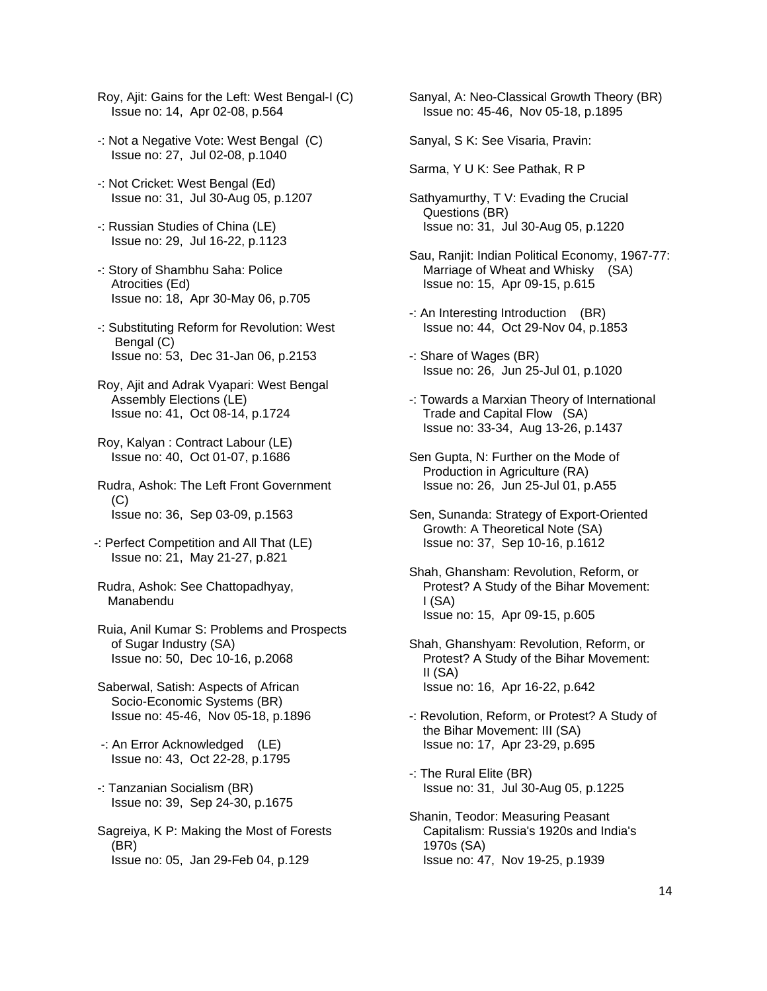- Roy, Ajit: Gains for the Left: West Bengal-I (C) Issue no: 14, Apr 02-08, p.564
- -: Not a Negative Vote: West Bengal (C) Issue no: 27, Jul 02-08, p.1040
- -: Not Cricket: West Bengal (Ed) Issue no: 31, Jul 30-Aug 05, p.1207
- -: Russian Studies of China (LE) Issue no: 29, Jul 16-22, p.1123
- -: Story of Shambhu Saha: Police Atrocities (Ed) Issue no: 18, Apr 30-May 06, p.705
- -: Substituting Reform for Revolution: West Bengal (C) Issue no: 53, Dec 31-Jan 06, p.2153
- Roy, Ajit and Adrak Vyapari: West Bengal Assembly Elections (LE) Issue no: 41, Oct 08-14, p.1724
- Roy, Kalyan : Contract Labour (LE) Issue no: 40, Oct 01-07, p.1686
- Rudra, Ashok: The Left Front Government (C) Issue no: 36, Sep 03-09, p.1563
- -: Perfect Competition and All That (LE) Issue no: 21, May 21-27, p.821
- Rudra, Ashok: See Chattopadhyay, Manabendu
- Ruia, Anil Kumar S: Problems and Prospects of Sugar Industry (SA) Issue no: 50, Dec 10-16, p.2068
- Saberwal, Satish: Aspects of African Socio-Economic Systems (BR) Issue no: 45-46, Nov 05-18, p.1896
- -: An Error Acknowledged (LE) Issue no: 43, Oct 22-28, p.1795
- -: Tanzanian Socialism (BR) Issue no: 39, Sep 24-30, p.1675
- Sagreiya, K P: Making the Most of Forests (BR) Issue no: 05, Jan 29-Feb 04, p.129

 Sanyal, A: Neo-Classical Growth Theory (BR) Issue no: 45-46, Nov 05-18, p.1895

Sanyal, S K: See Visaria, Pravin:

- Sarma, Y U K: See Pathak, R P
- Sathyamurthy, T V: Evading the Crucial Questions (BR) Issue no: 31, Jul 30-Aug 05, p.1220
- Sau, Ranjit: Indian Political Economy, 1967-77: Marriage of Wheat and Whisky (SA) Issue no: 15, Apr 09-15, p.615
- -: An Interesting Introduction (BR) Issue no: 44, Oct 29-Nov 04, p.1853
- -: Share of Wages (BR) Issue no: 26, Jun 25-Jul 01, p.1020
- -: Towards a Marxian Theory of International Trade and Capital Flow (SA) Issue no: 33-34, Aug 13-26, p.1437
- Sen Gupta, N: Further on the Mode of Production in Agriculture (RA) Issue no: 26, Jun 25-Jul 01, p.A55
- Sen, Sunanda: Strategy of Export-Oriented Growth: A Theoretical Note (SA) Issue no: 37, Sep 10-16, p.1612
- Shah, Ghansham: Revolution, Reform, or Protest? A Study of the Bihar Movement:  $I(SA)$ Issue no: 15, Apr 09-15, p.605
- Shah, Ghanshyam: Revolution, Reform, or Protest? A Study of the Bihar Movement: II (SA) Issue no: 16, Apr 16-22, p.642
- -: Revolution, Reform, or Protest? A Study of the Bihar Movement: III (SA) Issue no: 17, Apr 23-29, p.695
- -: The Rural Elite (BR) Issue no: 31, Jul 30-Aug 05, p.1225
- Shanin, Teodor: Measuring Peasant Capitalism: Russia's 1920s and India's 1970s (SA) Issue no: 47, Nov 19-25, p.1939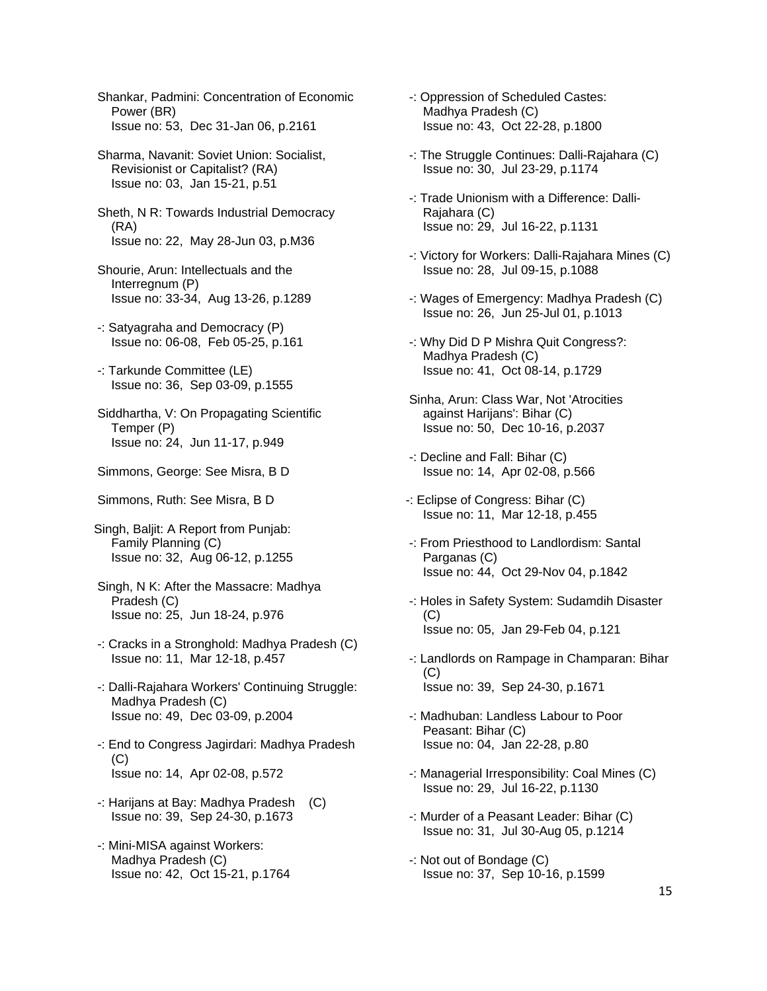Shankar, Padmini: Concentration of Economic Power (BR) Issue no: 53, Dec 31-Jan 06, p.2161

- Sharma, Navanit: Soviet Union: Socialist, Revisionist or Capitalist? (RA) Issue no: 03, Jan 15-21, p.51
- Sheth, N R: Towards Industrial Democracy (RA) Issue no: 22, May 28-Jun 03, p.M36
- Shourie, Arun: Intellectuals and the Interregnum (P) Issue no: 33-34, Aug 13-26, p.1289
- -: Satyagraha and Democracy (P) Issue no: 06-08, Feb 05-25, p.161
- -: Tarkunde Committee (LE) Issue no: 36, Sep 03-09, p.1555
- Siddhartha, V: On Propagating Scientific Temper (P) Issue no: 24, Jun 11-17, p.949
- Simmons, George: See Misra, B D
- Simmons, Ruth: See Misra, B D
- Singh, Baljit: A Report from Punjab: Family Planning (C) Issue no: 32, Aug 06-12, p.1255
- Singh, N K: After the Massacre: Madhya Pradesh (C) Issue no: 25, Jun 18-24, p.976
- -: Cracks in a Stronghold: Madhya Pradesh (C) Issue no: 11, Mar 12-18, p.457
- -: Dalli-Rajahara Workers' Continuing Struggle: Madhya Pradesh (C) Issue no: 49, Dec 03-09, p.2004
- -: End to Congress Jagirdari: Madhya Pradesh (C) Issue no: 14, Apr 02-08, p.572
- -: Harijans at Bay: Madhya Pradesh (C) Issue no: 39, Sep 24-30, p.1673
- -: Mini-MISA against Workers: Madhya Pradesh (C) Issue no: 42, Oct 15-21, p.1764
- -: Oppression of Scheduled Castes: Madhya Pradesh (C) Issue no: 43, Oct 22-28, p.1800
- -: The Struggle Continues: Dalli-Rajahara (C) Issue no: 30, Jul 23-29, p.1174
- -: Trade Unionism with a Difference: Dalli- Rajahara (C) Issue no: 29, Jul 16-22, p.1131
- -: Victory for Workers: Dalli-Rajahara Mines (C) Issue no: 28, Jul 09-15, p.1088
- -: Wages of Emergency: Madhya Pradesh (C) Issue no: 26, Jun 25-Jul 01, p.1013
- -: Why Did D P Mishra Quit Congress?: Madhya Pradesh (C) Issue no: 41, Oct 08-14, p.1729
- Sinha, Arun: Class War, Not 'Atrocities against Harijans': Bihar (C) Issue no: 50, Dec 10-16, p.2037
- -: Decline and Fall: Bihar (C) Issue no: 14, Apr 02-08, p.566
- -: Eclipse of Congress: Bihar (C) Issue no: 11, Mar 12-18, p.455
- -: From Priesthood to Landlordism: Santal Parganas (C) Issue no: 44, Oct 29-Nov 04, p.1842
- -: Holes in Safety System: Sudamdih Disaster  $(C)$ Issue no: 05, Jan 29-Feb 04, p.121
- -: Landlords on Rampage in Champaran: Bihar (C) Issue no: 39, Sep 24-30, p.1671
- -: Madhuban: Landless Labour to Poor Peasant: Bihar (C) Issue no: 04, Jan 22-28, p.80
- -: Managerial Irresponsibility: Coal Mines (C) Issue no: 29, Jul 16-22, p.1130
- -: Murder of a Peasant Leader: Bihar (C) Issue no: 31, Jul 30-Aug 05, p.1214
- -: Not out of Bondage (C) Issue no: 37, Sep 10-16, p.1599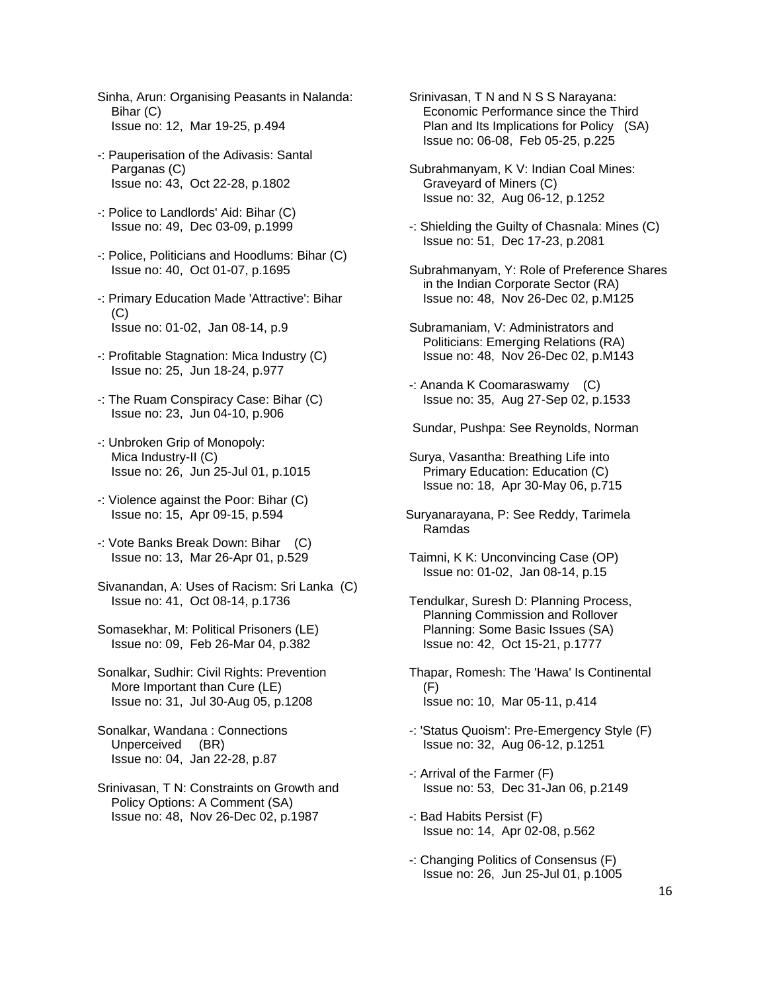- Sinha, Arun: Organising Peasants in Nalanda: Bihar (C) Issue no: 12, Mar 19-25, p.494
- -: Pauperisation of the Adivasis: Santal Parganas (C) Issue no: 43, Oct 22-28, p.1802
- -: Police to Landlords' Aid: Bihar (C) Issue no: 49, Dec 03-09, p.1999
- -: Police, Politicians and Hoodlums: Bihar (C) Issue no: 40, Oct 01-07, p.1695
- -: Primary Education Made 'Attractive': Bihar  $(C)$ Issue no: 01-02, Jan 08-14, p.9
- -: Profitable Stagnation: Mica Industry (C) Issue no: 25, Jun 18-24, p.977
- -: The Ruam Conspiracy Case: Bihar (C) Issue no: 23, Jun 04-10, p.906
- -: Unbroken Grip of Monopoly: Mica Industry-II (C) Issue no: 26, Jun 25-Jul 01, p.1015
- -: Violence against the Poor: Bihar (C) Issue no: 15, Apr 09-15, p.594
- -: Vote Banks Break Down: Bihar (C) Issue no: 13, Mar 26-Apr 01, p.529
- Sivanandan, A: Uses of Racism: Sri Lanka (C) Issue no: 41, Oct 08-14, p.1736
- Somasekhar, M: Political Prisoners (LE) Issue no: 09, Feb 26-Mar 04, p.382
- Sonalkar, Sudhir: Civil Rights: Prevention More Important than Cure (LE) Issue no: 31, Jul 30-Aug 05, p.1208
- Sonalkar, Wandana : Connections Unperceived (BR) Issue no: 04, Jan 22-28, p.87
- Srinivasan, T N: Constraints on Growth and Policy Options: A Comment (SA) Issue no: 48, Nov 26-Dec 02, p.1987

 Srinivasan, T N and N S S Narayana: Economic Performance since the Third Plan and Its Implications for Policy (SA) Issue no: 06-08, Feb 05-25, p.225

- Subrahmanyam, K V: Indian Coal Mines: Graveyard of Miners (C) Issue no: 32, Aug 06-12, p.1252
- -: Shielding the Guilty of Chasnala: Mines (C) Issue no: 51, Dec 17-23, p.2081
- Subrahmanyam, Y: Role of Preference Shares in the Indian Corporate Sector (RA) Issue no: 48, Nov 26-Dec 02, p.M125
- Subramaniam, V: Administrators and Politicians: Emerging Relations (RA) Issue no: 48, Nov 26-Dec 02, p.M143
- -: Ananda K Coomaraswamy (C) Issue no: 35, Aug 27-Sep 02, p.1533
- Sundar, Pushpa: See Reynolds, Norman
- Surya, Vasantha: Breathing Life into Primary Education: Education (C) Issue no: 18, Apr 30-May 06, p.715
- Suryanarayana, P: See Reddy, Tarimela Ramdas
- Taimni, K K: Unconvincing Case (OP) Issue no: 01-02, Jan 08-14, p.15
- Tendulkar, Suresh D: Planning Process, Planning Commission and Rollover Planning: Some Basic Issues (SA) Issue no: 42, Oct 15-21, p.1777
- Thapar, Romesh: The 'Hawa' Is Continental (F) Issue no: 10, Mar 05-11, p.414
- -: 'Status Quoism': Pre-Emergency Style (F) Issue no: 32, Aug 06-12, p.1251
- -: Arrival of the Farmer (F) Issue no: 53, Dec 31-Jan 06, p.2149
- -: Bad Habits Persist (F) Issue no: 14, Apr 02-08, p.562
- -: Changing Politics of Consensus (F) Issue no: 26, Jun 25-Jul 01, p.1005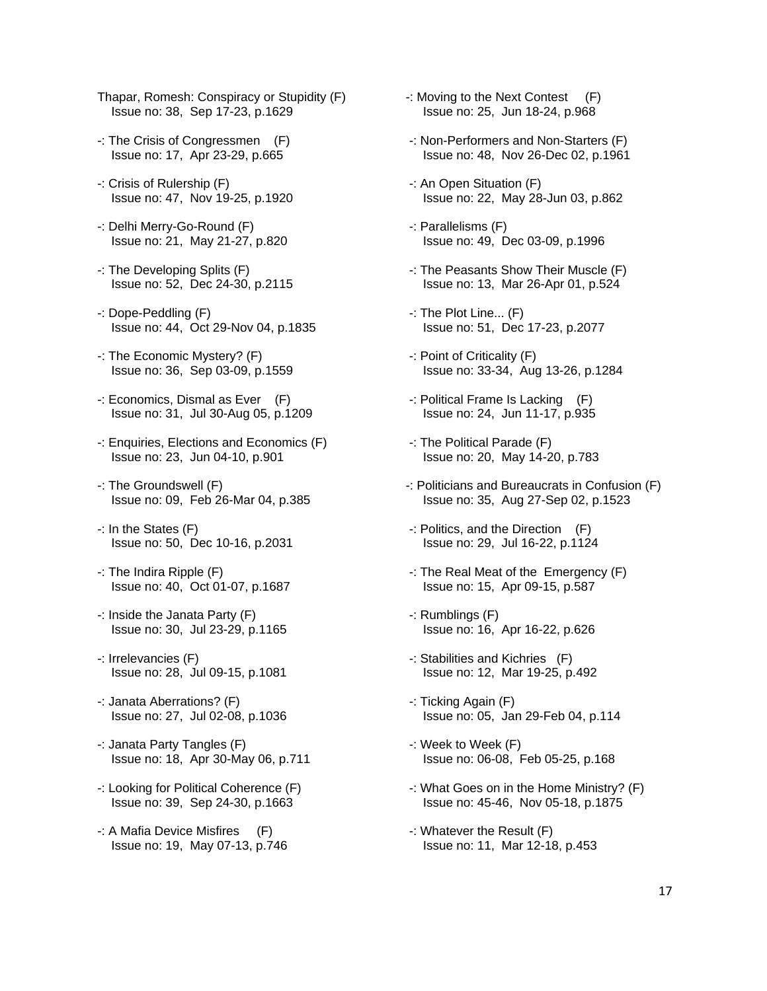- Thapar, Romesh: Conspiracy or Stupidity (F) Issue no: 38, Sep 17-23, p.1629
- -: The Crisis of Congressmen (F) Issue no: 17, Apr 23-29, p.665
- -: Crisis of Rulership (F) Issue no: 47, Nov 19-25, p.1920
- -: Delhi Merry-Go-Round (F) Issue no: 21, May 21-27, p.820
- -: The Developing Splits (F) Issue no: 52, Dec 24-30, p.2115
- -: Dope-Peddling (F) Issue no: 44, Oct 29-Nov 04, p.1835
- -: The Economic Mystery? (F) Issue no: 36, Sep 03-09, p.1559
- -: Economics, Dismal as Ever (F) Issue no: 31, Jul 30-Aug 05, p.1209
- -: Enquiries, Elections and Economics (F) Issue no: 23, Jun 04-10, p.901
- -: The Groundswell (F) Issue no: 09, Feb 26-Mar 04, p.385
- -: In the States (F) Issue no: 50, Dec 10-16, p.2031
- -: The Indira Ripple (F) Issue no: 40, Oct 01-07, p.1687
- -: Inside the Janata Party (F) Issue no: 30, Jul 23-29, p.1165
- -: Irrelevancies (F) Issue no: 28, Jul 09-15, p.1081
- -: Janata Aberrations? (F) Issue no: 27, Jul 02-08, p.1036
- -: Janata Party Tangles (F) Issue no: 18, Apr 30-May 06, p.711
- -: Looking for Political Coherence (F) Issue no: 39, Sep 24-30, p.1663
- -: A Mafia Device Misfires (F) Issue no: 19, May 07-13, p.746
- -: Moving to the Next Contest (F) Issue no: 25, Jun 18-24, p.968
- -: Non-Performers and Non-Starters (F) Issue no: 48, Nov 26-Dec 02, p.1961
- -: An Open Situation (F) Issue no: 22, May 28-Jun 03, p.862
- -: Parallelisms (F) Issue no: 49, Dec 03-09, p.1996
- -: The Peasants Show Their Muscle (F) Issue no: 13, Mar 26-Apr 01, p.524
- -: The Plot Line... (F) Issue no: 51, Dec 17-23, p.2077
- -: Point of Criticality (F) Issue no: 33-34, Aug 13-26, p.1284
- -: Political Frame Is Lacking (F) Issue no: 24, Jun 11-17, p.935
- -: The Political Parade (F) Issue no: 20, May 14-20, p.783
- -: Politicians and Bureaucrats in Confusion (F) Issue no: 35, Aug 27-Sep 02, p.1523
- -: Politics, and the Direction (F) Issue no: 29, Jul 16-22, p.1124
- -: The Real Meat of the Emergency (F) Issue no: 15, Apr 09-15, p.587
- -: Rumblings (F) Issue no: 16, Apr 16-22, p.626
- -: Stabilities and Kichries (F) Issue no: 12, Mar 19-25, p.492
- -: Ticking Again (F) Issue no: 05, Jan 29-Feb 04, p.114
- -: Week to Week (F) Issue no: 06-08, Feb 05-25, p.168
- -: What Goes on in the Home Ministry? (F) Issue no: 45-46, Nov 05-18, p.1875
- -: Whatever the Result (F) Issue no: 11, Mar 12-18, p.453